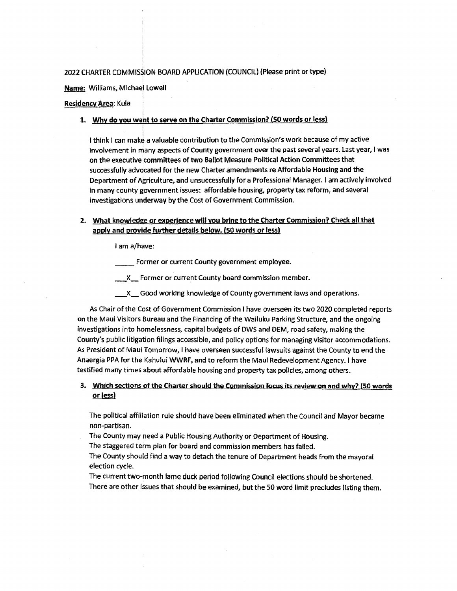### 2022 CHARTER COMMISSION BOARD APPLICATION (COUNCIL) (Please print or type)

**Name:** Williams, Michael Lowell

## **Residency Area:** Kula

**1. Why do you waht to serve on the Charter Commission? (50 words or less)** 

I think I can make a valuable contribution to the Commission's work because of my active involvement in many aspects of County government over the past several years. Last year, I was on the executive committees of two Ballot Measure Political Action Committees that successfully advocated for the new Charter amendments re Affordable Housing and the Department of Agriculture, and unsuccessfully for a Professional Manager. I am actively involved in many county government issues: affordable housing, property tax reform, and several investigations underway by the Cost of Government Commission.

## **2. What knowledge or experience will you bring to the Charter Commission? Check all that apply and provide further details below. (50 words or less)**

I am a/have:

Former or current County government employee.

**X** Former or current County board commission member.

\_X\_ Good working knowledge of County government laws and operations.

As Chair of the Cost of Government Commission I have overseen its two 2020 completed reports on the Maui Visitors Bureau and the Financing of the Wailuku Parking Structure, and the ongoing investigations into homelessness, capital budgets of DWS and DEM, road safety, making the County's public litigation filings accessible, and policy options for managing visitor accommodations. As President of Maui Tomorrow, I have overseen successful lawsuits against the County to end the Anaergia PPA for the Kahului WWRF, and to reform the Maui Redevelopment Agency. I have testified many times about affordable housing and property tax policies, among others.

## **3. Which sections of the Charter should the Commission focus its review on and why? (50 words or less)**

The political affiliation rule should have been eliminated when the Council and Mayor became non-partisan.

- The County may need a Public Housing Authority or Department of Housing.
- The staggered term plan for board and commission members has failed.
- The County should find a way to detach the tenure of Department heads from the mayoral election cycle.
- The current two-month lame duck period following Council elections should be shortened. There are other issues that should be examined, but the 50 word limit precludes listing them.